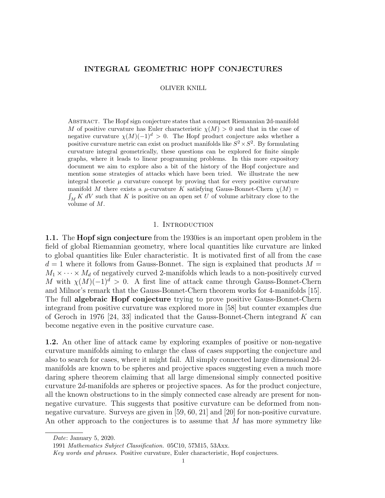# INTEGRAL GEOMETRIC HOPF CONJECTURES

### OLIVER KNILL

Abstract. The Hopf sign conjecture states that a compact Riemannian 2d-manifold M of positive curvature has Euler characteristic  $\chi(M) > 0$  and that in the case of negative curvature  $\chi(M)(-1)^d > 0$ . The Hopf product conjecture asks whether a positive curvature metric can exist on product manifolds like  $S^2 \times S^2$ . By formulating curvature integral geometrically, these questions can be explored for finite simple graphs, where it leads to linear programming problems. In this more expository document we aim to explore also a bit of the history of the Hopf conjecture and mention some strategies of attacks which have been tried. We illustrate the new integral theoretic  $\mu$  curvature concept by proving that for every positive curvature manifold M there exists a  $\mu$ -curvature K satisfying Gauss-Bonnet-Chern  $\chi(M)$  =  $\int_M K$  dV such that K is positive on an open set U of volume arbitrary close to the volume of M.

## 1. INTRODUCTION

1.1. The Hopf sign conjecture from the 1930ies is an important open problem in the field of global Riemannian geometry, where local quantities like curvature are linked to global quantities like Euler characteristic. It is motivated first of all from the case  $d = 1$  where it follows from Gauss-Bonnet. The sign is explained that products  $M =$  $M_1 \times \cdots \times M_d$  of negatively curved 2-manifolds which leads to a non-positively curved M with  $\chi(M)(-1)^d > 0$ . A first line of attack came through Gauss-Bonnet-Chern and Milnor's remark that the Gauss-Bonnet-Chern theorem works for 4-manifolds [15]. The full algebraic Hopf conjecture trying to prove positive Gauss-Bonnet-Chern integrand from positive curvature was explored more in [58] but counter examples due of Geroch in 1976 [24, 33] indicated that the Gauss-Bonnet-Chern integrand K can become negative even in the positive curvature case.

1.2. An other line of attack came by exploring examples of positive or non-negative curvature manifolds aiming to enlarge the class of cases supporting the conjecture and also to search for cases, where it might fail. All simply connected large dimensional 2dmanifolds are known to be spheres and projective spaces suggesting even a much more daring sphere theorem claiming that all large dimensional simply connected positive curvature 2d-manifolds are spheres or projective spaces. As for the product conjecture, all the known obstructions to in the simply connected case already are present for nonnegative curvature. This suggests that positive curvature can be deformed from nonnegative curvature. Surveys are given in [59, 60, 21] and [20] for non-positive curvature. An other approach to the conjectures is to assume that M has more symmetry like

Date: January 5, 2020.

<sup>1991</sup> Mathematics Subject Classification. 05C10, 57M15, 53Axx.

Key words and phrases. Positive curvature, Euler characteristic, Hopf conjectures.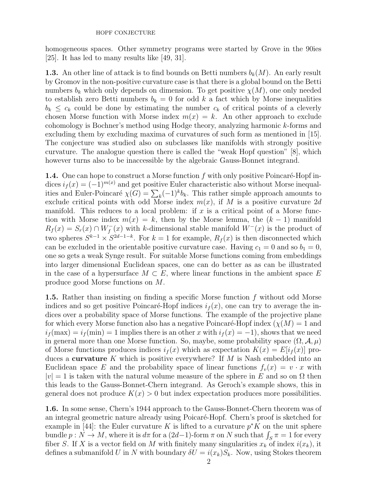homogeneous spaces. Other symmetry programs were started by Grove in the 90ies [25]. It has led to many results like [49, 31].

**1.3.** An other line of attack is to find bounds on Betti numbers  $b_k(M)$ . An early result by Gromov in the non-positive curvature case is that there is a global bound on the Betti numbers  $b_k$  which only depends on dimension. To get positive  $\chi(M)$ , one only needed to establish zero Betti numbers  $b_k = 0$  for odd k a fact which by Morse inequalities  $b_k \leq c_k$  could be done by estimating the number  $c_k$  of critical points of a cleverly chosen Morse function with Morse index  $m(x) = k$ . An other approach to exclude cohomology is Bochner's method using Hodge theory, analyzing harmonic k-forms and excluding them by excluding maxima of curvatures of such form as mentioned in [15]. The conjecture was studied also on subclasses like manifolds with strongly positive curvature. The analogue question there is called the "weak Hopf question" [8], which however turns also to be inaccessible by the algebraic Gauss-Bonnet integrand.

**1.4.** One can hope to construct a Morse function f with only positive Poincaré-Hopf indices  $i_f(x) = (-1)^{m(x)}$  and get positive Euler characteristic also without Morse inequalities and Euler-Poincaré  $\chi(G) = \sum_{k} (-1)^{k} b_{k}$ . This rather simple approach amounts to exclude critical points with odd Morse index  $m(x)$ , if M is a positive curvature 2d manifold. This reduces to a local problem: if  $x$  is a critical point of a Morse function with Morse index  $m(x) = k$ , then by the Morse lemma, the  $(k-1)$  manifold  $R_f(x) = S_r(x) \cap W_f^-(x)$  with k-dimensional stable manifold  $W^-(x)$  is the product of two spheres  $S^{k-1} \times S^{2d-1-k}$ . For  $k=1$  for example,  $R_f(x)$  is then disconnected which can be excluded in the orientable positive curvature case. Having  $c_1 = 0$  and so  $b_1 = 0$ , one so gets a weak Synge result. For suitable Morse functions coming from embeddings into larger dimensional Euclidean spaces, one can do better as as can be illustrated in the case of a hypersurface  $M \subset E$ , where linear functions in the ambient space E produce good Morse functions on M.

1.5. Rather than insisting on finding a specific Morse function f without odd Morse indices and so get positive Poincaré-Hopf indices  $i_f(x)$ , one can try to average the indices over a probability space of Morse functions. The example of the projective plane for which every Morse function also has a negative Poincaré-Hopf index  $(\chi(M) = 1$  and  $i_f$ (max) =  $i_f$ (min) = 1 implies there is an other x with  $i_f(x) = -1$ ), shows that we need in general more than one Morse function. So, maybe, some probability space  $(\Omega, \mathcal{A}, \mu)$ of Morse functions produces indices  $i_f(x)$  which as expectation  $K(x) = E[i_f(x)]$  produces a **curvature** K which is positive everywhere? If M is Nash embedded into an Euclidean space E and the probability space of linear functions  $f_v(x) = v \cdot x$  with  $|v| = 1$  is taken with the natural volume measure of the sphere in E and so on  $\Omega$  then this leads to the Gauss-Bonnet-Chern integrand. As Geroch's example shows, this in general does not produce  $K(x) > 0$  but index expectation produces more possibilities.

1.6. In some sense, Chern's 1944 approach to the Gauss-Bonnet-Chern theorem was of an integral geometric nature already using Poicaré-Hopf. Chern's proof is sketched for example in [44]: the Euler curvature K is lifted to a curvature  $p^*K$  on the unit sphere bundle  $p: N \to M$ , where it is  $d\pi$  for a  $(2d-1)$ -form  $\pi$  on  $N$  such that  $\int_S \pi = 1$  for every fiber S. If X is a vector field on M with finitely many singularities  $x_k$  of index  $i(x_k)$ , it defines a submanifold U in N with boundary  $\delta U = i(x_k)S_k$ . Now, using Stokes theorem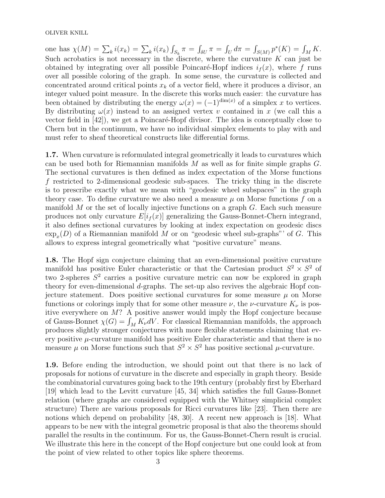one has  $\chi(M) = \sum_{k} i(x_k) = \sum_{k} i(x_k) \int_{S_k} \pi = \int_{\delta U} \pi = \int_{U} d\pi = \int_{S(M)} p^*(K) = \int_{M} K$ . Such acrobatics is not necessary in the discrete, where the curvature  $K$  can just be obtained by integrating over all possible Poincaré-Hopf indices  $i_f(x)$ , where f runs over all possible coloring of the graph. In some sense, the curvature is collected and concentrated around critical points  $x_k$  of a vector field, where it produces a divisor, an integer valued point measure. In the discrete this works much easier: the curvature has been obtained by distributing the energy  $\omega(x) = (-1)^{\dim(x)}$  of a simplex x to vertices. By distributing  $\omega(x)$  instead to an assigned vertex v contained in x (we call this a vector field in  $[42]$ , we get a Poincaré-Hopf divisor. The idea is conceptually close to Chern but in the continuum, we have no individual simplex elements to play with and must refer to sheaf theoretical constructs like differential forms.

1.7. When curvature is reformulated integral geometrically it leads to curvatures which can be used both for Riemannian manifolds  $M$  as well as for finite simple graphs  $G$ . The sectional curvatures is then defined as index expectation of the Morse functions f restricted to 2-dimensional geodesic sub-spaces. The tricky thing in the discrete is to prescribe exactly what we mean with "geodesic wheel subspaces" in the graph theory case. To define curvature we also need a measure  $\mu$  on Morse functions f on a manifold  $M$  or the set of locally injective functions on a graph  $G$ . Each such measure produces not only curvature  $E[i_f(x)]$  generalizing the Gauss-Bonnet-Chern integrand, it also defines sectional curvatures by looking at index expectation on geodesic discs  $\exp_x(D)$  of a Riemannian manifold M or on "geodesic wheel sub-graphs"' of G. This allows to express integral geometrically what "positive curvature" means.

1.8. The Hopf sign conjecture claiming that an even-dimensional positive curvature manifold has positive Euler characteristic or that the Cartesian product  $S^2 \times S^2$  of two 2-spheres  $S^2$  carries a positive curvature metric can now be explored in graph theory for even-dimensional d-graphs. The set-up also revives the algebraic Hopf conjecture statement. Does positive sectional curvatures for some measure  $\mu$  on Morse functions or colorings imply that for some other measure  $\nu$ , the  $\nu$ -curvature  $K_{\nu}$  is positive everywhere on  $M$ ? A positive answer would imply the Hopf conjecture because of Gauss-Bonnet  $\chi(G) = \int_M K_{\nu} dV$ . For classical Riemannian manifolds, the approach produces slightly stronger conjectures with more flexible statements claiming that every positive  $\mu$ -curvature manifold has positive Euler characteristic and that there is no measure  $\mu$  on Morse functions such that  $S^2 \times S^2$  has positive sectional  $\mu$ -curvature.

1.9. Before ending the introduction, we should point out that there is no lack of proposals for notions of curvature in the discrete and especially in graph theory. Beside the combinatorial curvatures going back to the 19th century (probably first by Eberhard [19] which lead to the Levitt curvature [45, 34] which satisfies the full Gauss-Bonnet relation (where graphs are considered equipped with the Whitney simplicial complex structure) There are various proposals for Ricci curvatures like [23]. Then there are notions which depend on probability [48, 30]. A recent new approach is [18]. What appears to be new with the integral geometric proposal is that also the theorems should parallel the results in the continuum. For us, the Gauss-Bonnet-Chern result is crucial. We illustrate this here in the concept of the Hopf conjecture but one could look at from the point of view related to other topics like sphere theorems.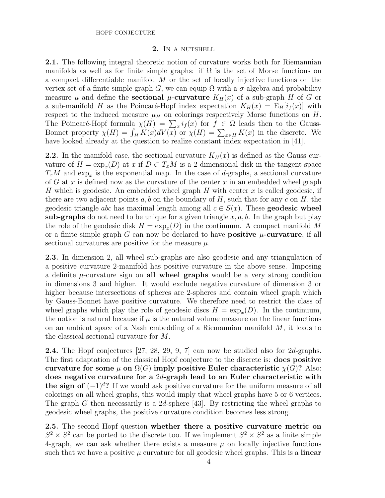## 2. In a nutshell

2.1. The following integral theoretic notion of curvature works both for Riemannian manifolds as well as for finite simple graphs: if  $\Omega$  is the set of Morse functions on a compact differentiable manifold  $M$  or the set of locally injective functions on the vertex set of a finite simple graph G, we can equip  $\Omega$  with a  $\sigma$ -algebra and probability measure  $\mu$  and define the **sectional**  $\mu$ -curvature  $K_H(x)$  of a sub-graph H of G or a sub-manifold H as the Poincaré-Hopf index expectation  $K_H(x) = E_H[i_f(x)]$  with respect to the induced measure  $\mu_H$  on colorings respectively Morse functions on H. The Poincaré-Hopf formula  $\chi(H) = \sum_x i_f(x)$  for  $f \in \Omega$  leads then to the Gauss-Bonnet property  $\chi(H) = \int_H K(x)dV(x)$  or  $\chi(H) = \sum_{x \in H} K(x)$  in the discrete. We have looked already at the question to realize constant index expectation in [41].

**2.2.** In the manifold case, the sectional curvature  $K_H(x)$  is defined as the Gauss curvature of  $H = \exp_x(D)$  at x if  $D \subset T_xM$  is a 2-dimensional disk in the tangent space  $T_xM$  and  $\exp_x$  is the exponential map. In the case of d-graphs, a sectional curvature of G at x is defined now as the curvature of the center x in an embedded wheel graph H which is geodesic. An embedded wheel graph H with center x is called geodesic, if there are two adjacent points a, b on the boundary of H, such that for any c on H, the geodesic triangle abc has maximal length among all  $c \in S(x)$ . These **geodesic wheel** sub-graphs do not need to be unique for a given triangle  $x, a, b$ . In the graph but play the role of the geodesic disk  $H = \exp_x(D)$  in the continuum. A compact manifold M or a finite simple graph G can now be declared to have **positive**  $\mu$ **-curvature**, if all sectional curvatures are positive for the measure  $\mu$ .

2.3. In dimension 2, all wheel sub-graphs are also geodesic and any triangulation of a positive curvature 2-manifold has positive curvature in the above sense. Imposing a definite  $\mu$ -curvature sign on **all wheel graphs** would be a very strong condition in dimensions 3 and higher. It would exclude negative curvature of dimension 3 or higher because intersections of spheres are 2-spheres and contain wheel graph which by Gauss-Bonnet have positive curvature. We therefore need to restrict the class of wheel graphs which play the role of geodesic discs  $H = \exp_x(D)$ . In the continuum, the notion is natural because if  $\mu$  is the natural volume measure on the linear functions on an ambient space of a Nash embedding of a Riemannian manifold  $M$ , it leads to the classical sectional curvature for M.

2.4. The Hopf conjectures [27, 28, 29, 9, 7] can now be studied also for 2d-graphs. The first adaptation of the classical Hopf conjecture to the discrete is: does positive curvature for some  $\mu$  on  $\Omega(G)$  imply positive Euler characteristic  $\chi(G)$ ? Also: does negative curvature for a 2d-graph lead to an Euler characteristic with the sign of  $(-1)^d$ ? If we would ask positive curvature for the uniform measure of all colorings on all wheel graphs, this would imply that wheel graphs have 5 or 6 vertices. The graph G then necessarily is a  $2d$ -sphere [43]. By restricting the wheel graphs to geodesic wheel graphs, the positive curvature condition becomes less strong.

2.5. The second Hopf question whether there a positive curvature metric on  $S^2 \times S^2$  can be ported to the discrete too. If we implement  $S^2 \times S^2$  as a finite simple 4-graph, we can ask whether there exists a measure  $\mu$  on locally injective functions such that we have a positive  $\mu$  curvature for all geodesic wheel graphs. This is a **linear**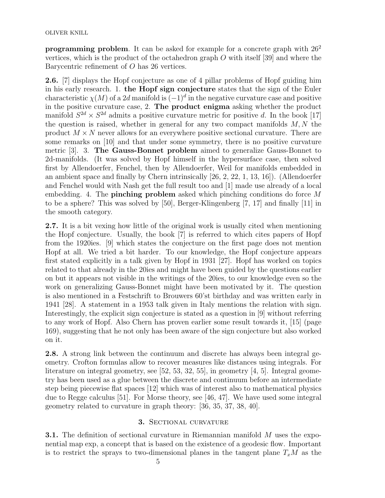**programming problem**. It can be asked for example for a concrete graph with  $26^2$ vertices, which is the product of the octahedron graph  $O$  with itself [39] and where the Barycentric refinement of O has 26 vertices.

2.6. [7] displays the Hopf conjecture as one of 4 pillar problems of Hopf guiding him in his early research. 1. the Hopf sign conjecture states that the sign of the Euler characteristic  $\chi(M)$  of a 2d manifold is  $(-1)^d$  in the negative curvature case and positive in the positive curvature case, 2. The product enigma asking whether the product manifold  $S^{2d} \times S^{2d}$  admits a positive curvature metric for positive d. In the book [17] the question is raised, whether in general for any two compact manifolds  $M, N$  the product  $M \times N$  never allows for an everywhere positive sectional curvature. There are some remarks on [10] and that under some symmetry, there is no positive curvature metric [3]. 3. The Gauss-Bonnet problem aimed to generalize Gauss-Bonnet to 2d-manifolds. (It was solved by Hopf himself in the hypersurface case, then solved first by Allendoerfer, Fenchel, then by Allendoerfer, Weil for manifolds embedded in an ambient space and finally by Chern intrinsically [26, 2, 22, 1, 13, 16]). (Allendoerfer and Fenchel would with Nash get the full result too and [1] made use already of a local embedding. 4. The **pinching problem** asked which pinching conditions do force  $M$ to be a sphere? This was solved by [50], Berger-Klingenberg [7, 17] and finally [11] in the smooth category.

2.7. It is a bit vexing how little of the original work is usually cited when mentioning the Hopf conjecture. Usually, the book [7] is referred to which cites papers of Hopf from the 1920ies. [9] which states the conjecture on the first page does not mention Hopf at all. We tried a bit harder. To our knowledge, the Hopf conjecture appears first stated explicitly in a talk given by Hopf in 1931 [27]. Hopf has worked on topics related to that already in the 20ies and might have been guided by the questions earlier on but it appears not visible in the writings of the 20ies, to our knowledge even so the work on generalizing Gauss-Bonnet might have been motivated by it. The question is also mentioned in a Festschrift to Brouwers 60'st birthday and was written early in 1941 [28]. A statement in a 1953 talk given in Italy mentions the relation with sign. Interestingly, the explicit sign conjecture is stated as a question in [9] without referring to any work of Hopf. Also Chern has proven earlier some result towards it, [15] (page 169), suggesting that he not only has been aware of the sign conjecture but also worked on it.

2.8. A strong link between the continuum and discrete has always been integral geometry. Crofton formulas allow to recover measures like distances using integrals. For literature on integral geometry, see [52, 53, 32, 55], in geometry [4, 5]. Integral geometry has been used as a glue between the discrete and continuum before an intermediate step being piecewise flat spaces [12] which was of interest also to mathematical physics due to Regge calculus [51]. For Morse theory, see [46, 47]. We have used some integral geometry related to curvature in graph theory: [36, 35, 37, 38, 40].

# 3. Sectional curvature

**3.1.** The definition of sectional curvature in Riemannian manifold M uses the exponential map exp, a concept that is based on the existence of a geodesic flow. Important is to restrict the sprays to two-dimensional planes in the tangent plane  $T_xM$  as the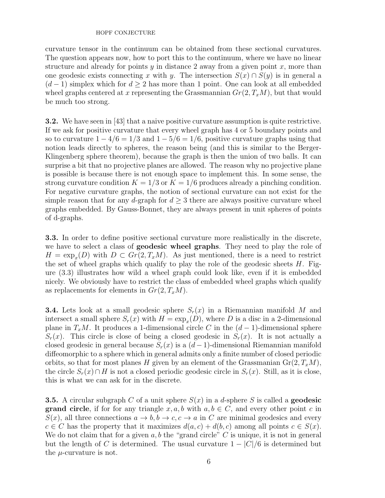curvature tensor in the continuum can be obtained from these sectional curvatures. The question appears now, how to port this to the continuum, where we have no linear structure and already for points  $y$  in distance 2 away from a given point  $x$ , more than one geodesic exists connecting x with y. The intersection  $S(x) \cap S(y)$  is in general a  $(d-1)$  simplex which for  $d \geq 2$  has more than 1 point. One can look at all embedded wheel graphs centered at x representing the Grassmannian  $Gr(2, T_xM)$ , but that would be much too strong.

3.2. We have seen in [43] that a naive positive curvature assumption is quite restrictive. If we ask for positive curvature that every wheel graph has 4 or 5 boundary points and so to curvature  $1 - 4/6 = 1/3$  and  $1 - 5/6 = 1/6$ , positive curvature graphs using that notion leads directly to spheres, the reason being (and this is similar to the Berger-Klingenberg sphere theorem), because the graph is then the union of two balls. It can surprise a bit that no projective planes are allowed. The reason why no projective plane is possible is because there is not enough space to implement this. In some sense, the strong curvature condition  $K = 1/3$  or  $K = 1/6$  produces already a pinching condition. For negative curvature graphs, the notion of sectional curvature can not exist for the simple reason that for any d-graph for  $d \geq 3$  there are always positive curvature wheel graphs embedded. By Gauss-Bonnet, they are always present in unit spheres of points of d-graphs.

3.3. In order to define positive sectional curvature more realistically in the discrete, we have to select a class of **geodesic wheel graphs**. They need to play the role of  $H = \exp_x(D)$  with  $D \subset Gr(2, T_xM)$ . As just mentioned, there is a need to restrict the set of wheel graphs which qualify to play the role of the geodesic sheets  $H$ . Figure (3.3) illustrates how wild a wheel graph could look like, even if it is embedded nicely. We obviously have to restrict the class of embedded wheel graphs which qualify as replacements for elements in  $Gr(2, T_xM)$ .

**3.4.** Lets look at a small geodesic sphere  $S_r(x)$  in a Riemannian manifold M and intersect a small sphere  $S_r(x)$  with  $H = \exp_x(D)$ , where D is a disc in a 2-dimensional plane in  $T_xM$ . It produces a 1-dimensional circle C in the  $(d-1)$ -dimensional sphere  $S_r(x)$ . This circle is close of being a closed geodesic in  $S_r(x)$ . It is not actually a closed geodesic in general because  $S_r(x)$  is a  $(d-1)$ -dimensional Riemannian manifold diffeomorphic to a sphere which in general admits only a finite number of closed periodic orbits, so that for most planes H given by an element of the Grassmanian  $Gr(2, T_xM)$ , the circle  $S_r(x) \cap H$  is not a closed periodic geodesic circle in  $S_r(x)$ . Still, as it is close, this is what we can ask for in the discrete.

**3.5.** A circular subgraph C of a unit sphere  $S(x)$  in a d-sphere S is called a **geodesic grand circle**, if for for any triangle  $x, a, b$  with  $a, b \in C$ , and every other point c in  $S(x)$ , all three connections  $a \to b, b \to c, c \to a$  in C are minimal geodesics and every  $c \in C$  has the property that it maximizes  $d(a, c) + d(b, c)$  among all points  $c \in S(x)$ . We do not claim that for a given  $a, b$  the "grand circle" C is unique, it is not in general but the length of C is determined. The usual curvature  $1 - |C|/6$  is determined but the  $\mu$ -curvature is not.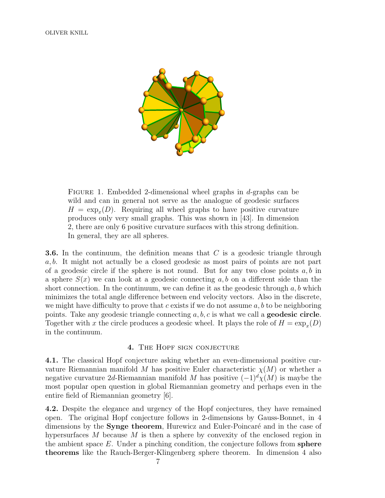

FIGURE 1. Embedded 2-dimensional wheel graphs in  $d$ -graphs can be wild and can in general not serve as the analogue of geodesic surfaces  $H = \exp_x(D)$ . Requiring all wheel graphs to have positive curvature produces only very small graphs. This was shown in [43]. In dimension 2, there are only 6 positive curvature surfaces with this strong definition. In general, they are all spheres.

**3.6.** In the continuum, the definition means that  $C$  is a geodesic triangle through a, b. It might not actually be a closed geodesic as most pairs of points are not part of a geodesic circle if the sphere is not round. But for any two close points  $a, b$  in a sphere  $S(x)$  we can look at a geodesic connecting a, b on a different side than the short connection. In the continuum, we can define it as the geodesic through  $a, b$  which minimizes the total angle difference between end velocity vectors. Also in the discrete, we might have difficulty to prove that c exists if we do not assume  $a, b$  to be neighboring points. Take any geodesic triangle connecting  $a, b, c$  is what we call a **geodesic circle**. Together with x the circle produces a geodesic wheel. It plays the role of  $H = \exp_x(D)$ in the continuum.

### 4. The Hopf sign conjecture

4.1. The classical Hopf conjecture asking whether an even-dimensional positive curvature Riemannian manifold M has positive Euler characteristic  $\chi(M)$  or whether a negative curvature 2d-Riemannian manifold M has positive  $(-1)^{d}\chi(M)$  is maybe the most popular open question in global Riemannian geometry and perhaps even in the entire field of Riemannian geometry [6].

4.2. Despite the elegance and urgency of the Hopf conjectures, they have remained open. The original Hopf conjecture follows in 2-dimensions by Gauss-Bonnet, in 4 dimensions by the **Synge theorem**, Hurewicz and Euler-Poincaré and in the case of hypersurfaces  $M$  because  $M$  is then a sphere by convexity of the enclosed region in the ambient space  $E$ . Under a pinching condition, the conjecture follows from sphere theorems like the Rauch-Berger-Klingenberg sphere theorem. In dimension 4 also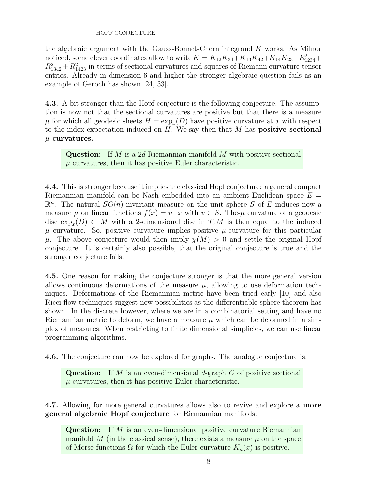the algebraic argument with the Gauss-Bonnet-Chern integrand K works. As Milnor noticed, some clever coordinates allow to write  $K = K_{12}K_{34} + K_{13}K_{42} + K_{14}K_{23} + R_{1234}^2 +$  $R_{1342}^2 + R_{1423}^2$  in terms of sectional curvatures and squares of Riemann curvature tensor entries. Already in dimension 6 and higher the stronger algebraic question fails as an example of Geroch has shown [24, 33].

4.3. A bit stronger than the Hopf conjecture is the following conjecture. The assumption is now not that the sectional curvatures are positive but that there is a measure  $\mu$  for which all geodesic sheets  $H = \exp_x(D)$  have positive curvature at x with respect to the index expectation induced on  $H$ . We say then that  $M$  has **positive sectional**  $\mu$  curvatures.

**Question:** If M is a 2d Riemannian manifold M with positive sectional  $\mu$  curvatures, then it has positive Euler characteristic.

4.4. This is stronger because it implies the classical Hopf conjecture: a general compact Riemannian manifold can be Nash embedded into an ambient Euclidean space  $E =$  $\mathbb{R}^n$ . The natural  $SO(n)$ -invariant measure on the unit sphere S of E induces now a measure  $\mu$  on linear functions  $f(x) = v \cdot x$  with  $v \in S$ . The- $\mu$  curvature of a geodesic disc  $\exp_x(D) \subset M$  with a 2-dimensional disc in  $T_xM$  is then equal to the induced  $\mu$  curvature. So, positive curvature implies positive  $\mu$ -curvature for this particular  $\mu$ . The above conjecture would then imply  $\chi(M) > 0$  and settle the original Hopf conjecture. It is certainly also possible, that the original conjecture is true and the stronger conjecture fails.

4.5. One reason for making the conjecture stronger is that the more general version allows continuous deformations of the measure  $\mu$ , allowing to use deformation techniques. Deformations of the Riemannian metric have been tried early [10] and also Ricci flow techniques suggest new possibilities as the differentiable sphere theorem has shown. In the discrete however, where we are in a combinatorial setting and have no Riemannian metric to deform, we have a measure  $\mu$  which can be deformed in a simplex of measures. When restricting to finite dimensional simplicies, we can use linear programming algorithms.

4.6. The conjecture can now be explored for graphs. The analogue conjecture is:

**Question:** If M is an even-dimensional d-graph  $G$  of positive sectional  $\mu$ -curvatures, then it has positive Euler characteristic.

4.7. Allowing for more general curvatures allows also to revive and explore a more general algebraic Hopf conjecture for Riemannian manifolds:

**Question:** If  $M$  is an even-dimensional positive curvature Riemannian manifold M (in the classical sense), there exists a measure  $\mu$  on the space of Morse functions  $\Omega$  for which the Euler curvature  $K_{\mu}(x)$  is positive.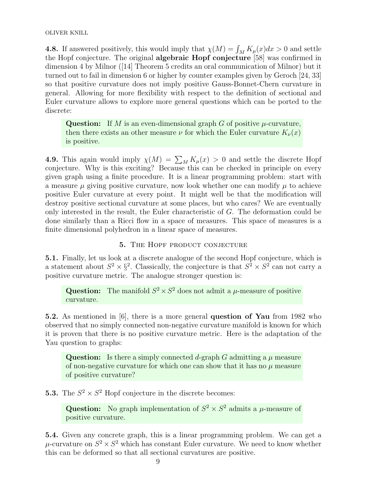**4.8.** If answered positively, this would imply that  $\chi(M) = \int_M K_\mu(x)dx > 0$  and settle the Hopf conjecture. The original algebraic Hopf conjecture [58] was confirmed in dimension 4 by Milnor ([14] Theorem 5 credits an oral communication of Milnor) but it turned out to fail in dimension 6 or higher by counter examples given by Geroch [24, 33] so that positive curvature does not imply positive Gauss-Bonnet-Chern curvature in general. Allowing for more flexibility with respect to the definition of sectional and Euler curvature allows to explore more general questions which can be ported to the discrete:

Question: If M is an even-dimensional graph  $G$  of positive  $\mu$ -curvature, then there exists an other measure  $\nu$  for which the Euler curvature  $K_{\nu}(x)$ is positive.

**4.9.** This again would imply  $\chi(M) = \sum_M K_\mu(x) > 0$  and settle the discrete Hopf conjecture. Why is this exciting? Because this can be checked in principle on every given graph using a finite procedure. It is a linear programming problem: start with a measure  $\mu$  giving positive curvature, now look whether one can modify  $\mu$  to achieve positive Euler curvature at every point. It might well be that the modification will destroy positive sectional curvature at some places, but who cares? We are eventually only interested in the result, the Euler characteristic of G. The deformation could be done similarly than a Ricci flow in a space of measures. This space of measures is a finite dimensional polyhedron in a linear space of measures.

## 5. THE HOPF PRODUCT CONJECTURE

5.1. Finally, let us look at a discrete analogue of the second Hopf conjecture, which is a statement about  $S^2 \times \S^2$ . Classically, the conjecture is that  $S^2 \times S^2$  can not carry a positive curvature metric. The analogue stronger question is:

Question: The manifold  $S^2 \times S^2$  does not admit a  $\mu$ -measure of positive curvature.

5.2. As mentioned in [6], there is a more general question of Yau from 1982 who observed that no simply connected non-negative curvature manifold is known for which it is proven that there is no positive curvature metric. Here is the adaptation of the Yau question to graphs:

Question: Is there a simply connected d-graph G admitting a  $\mu$  measure of non-negative curvature for which one can show that it has no  $\mu$  measure of positive curvature?

**5.3.** The  $S^2 \times S^2$  Hopf conjecture in the discrete becomes:

**Question:** No graph implementation of  $S^2 \times S^2$  admits a  $\mu$ -measure of positive curvature.

5.4. Given any concrete graph, this is a linear programming problem. We can get a  $\mu$ -curvature on  $S^2 \times S^2$  which has constant Euler curvature. We need to know whether this can be deformed so that all sectional curvatures are positive.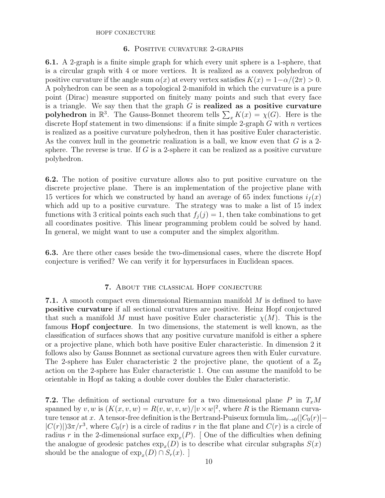# 6. Positive curvature 2-graphs

6.1. A 2-graph is a finite simple graph for which every unit sphere is a 1-sphere, that is a circular graph with 4 or more vertices. It is realized as a convex polyhedron of positive curvature if the angle sum  $\alpha(x)$  at every vertex satisfies  $K(x) = 1-\alpha/(2\pi) > 0$ . A polyhedron can be seen as a topological 2-manifold in which the curvature is a pure point (Dirac) measure supported on finitely many points and such that every face is a triangle. We say then that the graph  $G$  is **realized as a positive curvature** polyhedron in  $\mathbb{R}^3$ . The Gauss-Bonnet theorem tells  $\sum_x K(x) = \chi(G)$ . Here is the discrete Hopf statement in two dimensions: if a finite simple 2-graph  $G$  with  $n$  vertices is realized as a positive curvature polyhedron, then it has positive Euler characteristic. As the convex hull in the geometric realization is a ball, we know even that  $G$  is a 2sphere. The reverse is true. If  $G$  is a 2-sphere it can be realized as a positive curvature polyhedron.

6.2. The notion of positive curvature allows also to put positive curvature on the discrete projective plane. There is an implementation of the projective plane with 15 vertices for which we constructed by hand an average of 65 index functions  $i_f(x)$ which add up to a positive curvature. The strategy was to make a list of 15 index functions with 3 critical points each such that  $f_i(j) = 1$ , then take combinations to get all coordinates positive. This linear programming problem could be solved by hand. In general, we might want to use a computer and the simplex algorithm.

6.3. Are there other cases beside the two-dimensional cases, where the discrete Hopf conjecture is verified? We can verify it for hypersurfaces in Euclidean spaces.

## 7. About the classical Hopf conjecture

**7.1.** A smooth compact even dimensional Riemannian manifold M is defined to have positive curvature if all sectional curvatures are positive. Heinz Hopf conjectured that such a manifold M must have positive Euler characteristic  $\chi(M)$ . This is the famous Hopf conjecture. In two dimensions, the statement is well known, as the classification of surfaces shows that any positive curvature manifold is either a sphere or a projective plane, which both have positive Euler characteristic. In dimension 2 it follows also by Gauss Bonnnet as sectional curvature agrees then with Euler curvature. The 2-sphere has Euler characteristic 2 the projective plane, the quotient of a  $\mathbb{Z}_2$ action on the 2-sphere has Euler characteristic 1. One can assume the manifold to be orientable in Hopf as taking a double cover doubles the Euler characteristic.

**7.2.** The definition of sectional curvature for a two dimensional plane P in  $T_xM$ spanned by v, w is  $(K(x, v, w)) = R(v, w, v, w)/|v \times w|^2$ , where R is the Riemann curvature tensor at x. A tensor-free definition is the Bertrand-Puiseux formula  $\lim_{r\to 0}(|C_0(r)| |C(r)|$ ) $3\pi/r^3$ , where  $C_0(r)$  is a circle of radius r in the flat plane and  $C(r)$  is a circle of radius r in the 2-dimensional surface  $\exp_x(P)$ . [ One of the difficulties when defining the analogue of geodesic patches  $\exp_x(D)$  is to describe what circular subgraphs  $S(x)$ should be the analogue of  $\exp_x(D) \cap S_r(x)$ .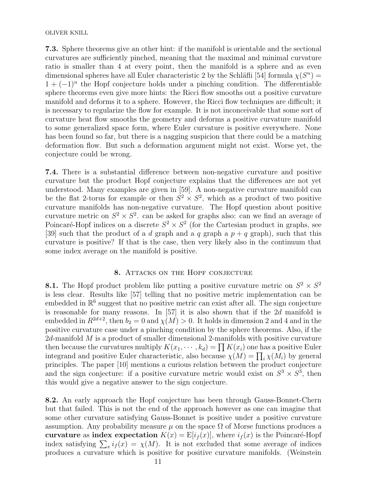7.3. Sphere theorems give an other hint: if the manifold is orientable and the sectional curvatures are sufficiently pinched, meaning that the maximal and minimal curvature ratio is smaller than 4 at every point, then the manifold is a sphere and as even dimensional spheres have all Euler characteristic 2 by the Schläfli [54] formula  $\chi(S^n)$  =  $1 + (-1)^n$  the Hopf conjecture holds under a pinching condition. The differentiable sphere theorems even give more hints: the Ricci flow smooths out a positive curvature manifold and deforms it to a sphere. However, the Ricci flow techniques are difficult; it is necessary to regularize the flow for example. It is not inconceivable that some sort of curvature heat flow smooths the geometry and deforms a positive curvature manifold to some generalized space form, where Euler curvature is positive everywhere. None has been found so far, but there is a nagging suspicion that there could be a matching deformation flow. But such a deformation argument might not exist. Worse yet, the conjecture could be wrong.

7.4. There is a substantial difference between non-negative curvature and positive curvature but the product Hopf conjecture explains that the differences are not yet understood. Many examples are given in [59]. A non-negative curvature manifold can be the flat 2-torus for example or then  $S^2 \times S^2$ , which as a product of two positive curvature manifolds has non-negative curvature. The Hopf question about positive curvature metric on  $S^2 \times S^2$ . can be asked for graphs also: can we find an average of Poincaré-Hopf indices on a discrete  $S^2 \times S^2$  (for the Cartesian product in graphs, see [39] such that the product of a d graph and a q graph a  $p + q$  graph), such that this curvature is positive? If that is the case, then very likely also in the continuum that some index average on the manifold is positive.

## 8. ATTACKS ON THE HOPF CONJECTURE

**8.1.** The Hopf product problem like putting a positive curvature metric on  $S^2 \times S^2$ is less clear. Results like [57] telling that no positive metric implementation can be embedded in  $\mathbb{R}^6$  suggest that no positive metric can exist after all. The sign conjecture is reasonable for many reasons. In  $[57]$  it is also shown that if the 2d manifold is embedded in  $R^{2d+2}$ , then  $b_2 = 0$  and  $\chi(M) > 0$ . It holds in dimension 2 and 4 and in the positive curvature case under a pinching condition by the sphere theorems. Also, if the  $2d$ -manifold  $M$  is a product of smaller dimensional 2-manifolds with positive curvature then because the curvatures multiply  $K(x_1, \dots, k_d) = \prod K(x_i)$  one has a positive Euler integrand and positive Euler characteristic, also because  $\chi(M) = \prod_i \chi(M_i)$  by general principles. The paper [10] mentions a curious relation between the product conjecture and the sign conjecture: if a positive curvature metric would exist on  $S^3 \times S^3$ , then this would give a negative answer to the sign conjecture.

8.2. An early approach the Hopf conjecture has been through Gauss-Bonnet-Chern but that failed. This is not the end of the approach however as one can imagine that some other curvature satisfying Gauss-Bonnet is positive under a positive curvature assumption. Any probability measure  $\mu$  on the space  $\Omega$  of Morse functions produces a curvature as index expectation  $K(x) = E[i_f(x)]$ , where  $i_f(x)$  is the Poincaré-Hopf index satisfying  $\sum_{x} i_f(x) = \chi(M)$ . It is not excluded that some average of indices produces a curvature which is positive for positive curvature manifolds. (Weinstein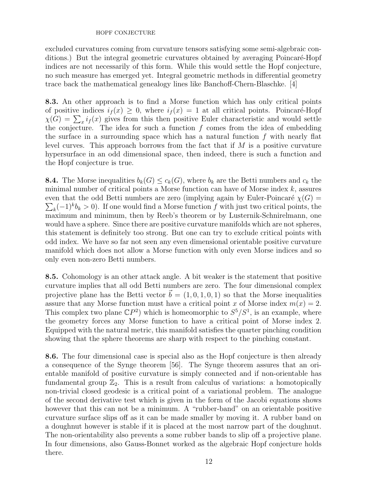excluded curvatures coming from curvature tensors satisfying some semi-algebraic conditions.) But the integral geometric curvatures obtained by averaging Poincaré-Hopf indices are not necessarily of this form. While this would settle the Hopf conjecture, no such measure has emerged yet. Integral geometric methods in differential geometry trace back the mathematical genealogy lines like Banchoff-Chern-Blaschke. [4]

8.3. An other approach is to find a Morse function which has only critical points of positive indices  $i_f(x) \geq 0$ , where  $i_f(x) = 1$  at all critical points. Poincaré-Hopf  $\chi(G) = \sum_x i_f(x)$  gives from this then positive Euler characteristic and would settle the conjecture. The idea for such a function  $f$  comes from the idea of embedding the surface in a surrounding space which has a natural function  $f$  with nearly flat level curves. This approach borrows from the fact that if  $M$  is a positive curvature hypersurface in an odd dimensional space, then indeed, there is such a function and the Hopf conjecture is true.

**8.4.** The Morse inequalities  $b_k(G) \leq c_k(G)$ , where  $b_k$  are the Betti numbers and  $c_k$  the minimal number of critical points a Morse function can have of Morse index  $k$ , assures even that the odd Betti numbers are zero (implying again by Euler-Poincaré  $\chi(G)$ )  $\sum_{k}(-1)^{k}b_{k} > 0$ . If one would find a Morse function f with just two critical points, the maximum and minimum, then by Reeb's theorem or by Lusternik-Schnirelmann, one would have a sphere. Since there are positive curvature manifolds which are not spheres, this statement is definitely too strong. But one can try to exclude critical points with odd index. We have so far not seen any even dimensional orientable positive curvature manifold which does not allow a Morse function with only even Morse indices and so only even non-zero Betti numbers.

8.5. Cohomology is an other attack angle. A bit weaker is the statement that positive curvature implies that all odd Betti numbers are zero. The four dimensional complex projective plane has the Betti vector  $\vec{b} = (1, 0, 1, 0, 1)$  so that the Morse inequalities assure that any Morse function must have a critical point x of Morse index  $m(x) = 2$ . This complex two plane  $\mathbb{C}P^2$ ) which is homeomorphic to  $S^5/S^1$ , is an example, where the geometry forces any Morse function to have a critical point of Morse index 2. Equipped with the natural metric, this manifold satisfies the quarter pinching condition showing that the sphere theorems are sharp with respect to the pinching constant.

8.6. The four dimensional case is special also as the Hopf conjecture is then already a consequence of the Synge theorem [56]. The Synge theorem assures that an orientable manifold of positive curvature is simply connected and if non-orientable has fundamental group  $\mathbb{Z}_2$ . This is a result from calculus of variations: a homotopically non-trivial closed geodesic is a critical point of a variational problem. The analogue of the second derivative test which is given in the form of the Jacobi equations shows however that this can not be a minimum. A "rubber-band" on an orientable positive curvature surface slips off as it can be made smaller by moving it. A rubber band on a doughnut however is stable if it is placed at the most narrow part of the doughnut. The non-orientability also prevents a some rubber bands to slip off a projective plane. In four dimensions, also Gauss-Bonnet worked as the algebraic Hopf conjecture holds there.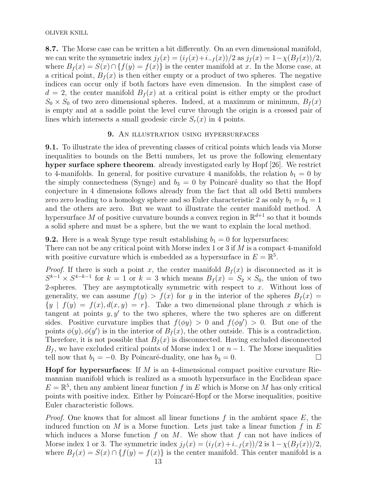OLIVER KNILL

8.7. The Morse case can be written a bit differently. On an even dimensional manifold, we can write the symmetric index  $j_f(x) = (i_f(x)+i_{-f}(x))/2$  as  $j_f(x) = 1-\chi(B_f(x))/2$ , where  $B_f(x) = S(x) \cap \{f(y) = f(x)\}\$ is the center manifold at x. In the Morse case, at a critical point,  $B_f(x)$  is then either empty or a product of two spheres. The negative indices can occur only if both factors have even dimension. In the simplest case of  $d = 2$ , the center manifold  $B<sub>f</sub>(x)$  at a critical point is either empty or the product  $S_0 \times S_0$  of two zero dimensional spheres. Indeed, at a maximum or minimum,  $B_f(x)$ is empty and at a saddle point the level curve through the origin is a crossed pair of lines which intersects a small geodesic circle  $S_r(x)$  in 4 points.

## 9. AN ILLUSTRATION USING HYPERSURFACES

9.1. To illustrate the idea of preventing classes of critical points which leads via Morse inequalities to bounds on the Betti numbers, let us prove the following elementary hyper surface sphere theorem. already investigated early by Hopf [26]. We restrict to 4-manifolds. In general, for positive curvature 4 manifolds, the relation  $b_1 = 0$  by the simply connectedness (Synge) and  $b_3 = 0$  by Poincaré duality so that the Hopf conjecture in 4 dimensions follows already from the fact that all odd Betti numbers zero zero leading to a homology sphere and so Euler characteristic 2 as only  $b_1 = b_4 = 1$ and the others are zero. But we want to illustrate the center manifold method. A hypersurface M of positive curvature bounds a convex region in  $\mathbb{R}^{d+1}$  so that it bounds a solid sphere and must be a sphere, but the we want to explain the local method.

**9.2.** Here is a weak Synge type result establishing  $b_1 = 0$  for hypersurfaces:

There can not be any critical point with Morse index 1 or 3 if  $M$  is a compact 4-manifold with positive curvature which is embedded as a hypersurface in  $E = \mathbb{R}^5$ .

*Proof.* If there is such a point x, the center manifold  $B<sub>f</sub>(x)$  is disconnected as it is  $S^{k-1} \times S^{4-k-1}$  for  $k = 1$  or  $k = 3$  which means  $B_f(x) = S_2 \times S_0$ , the union of two 2-spheres. They are asymptotically symmetric with respect to  $x$ . Without loss of generality, we can assume  $f(y) > f(x)$  for y in the interior of the spheres  $B_f(x) =$  ${y \mid f(y) = f(x), d(x, y) = r}.$  Take a two dimensional plane through x which is tangent at points  $y, y'$  to the two spheres, where the two spheres are on different sides. Positive curvature implies that  $f(\phi y) > 0$  and  $f(\phi y') > 0$ . But one of the points  $\phi(y)$ ,  $\phi(y')$  is in the interior of  $B_f(x)$ , the other outside. This is a contradiction. Therefore, it is not possible that  $B_f(x)$  is disconnected. Having excluded disconnected  $B_f$ , we have excluded critical points of Morse index 1 or  $n-1$ . The Morse inequalities tell now that  $b_1 = -0$ . By Poincaré-duality, one has  $b_3 = 0$ .

**Hopf for hypersurfaces:** If  $M$  is an 4-dimensional compact positive curvature Riemannian manifold which is realized as a smooth hypersurface in the Euclidean space  $E = \mathbb{R}^5$ , then any ambient linear function f in E which is Morse on M has only critical points with positive index. Either by Poincaré-Hopf or the Morse inequalities, positive Euler characteristic follows.

*Proof.* One knows that for almost all linear functions f in the ambient space  $E$ , the induced function on M is a Morse function. Lets just take a linear function f in  $E$ which induces a Morse function  $f$  on  $M$ . We show that  $f$  can not have indices of Morse index 1 or 3. The symmetric index  $j_f(x) = (i_f(x) + i_{-f}(x))/2$  is  $1 - \chi(B_f(x))/2$ , where  $B_f(x) = S(x) \cap \{f(y) = f(x)\}\$ is the center manifold. This center manifold is a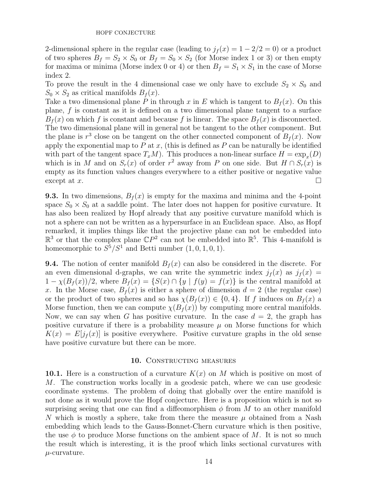2-dimensional sphere in the regular case (leading to  $j_f(x) = 1 - 2/2 = 0$ ) or a product of two spheres  $B_f = S_2 \times S_0$  or  $B_f = S_0 \times S_2$  (for Morse index 1 or 3) or then empty for maxima or minima (Morse index 0 or 4) or then  $B_f = S_1 \times S_1$  in the case of Morse index 2.

To prove the result in the 4 dimensional case we only have to exclude  $S_2 \times S_0$  and  $S_0 \times S_2$  as critical manifolds  $B_f(x)$ .

Take a two dimensional plane P in through x in E which is tangent to  $B_f(x)$ . On this plane, f is constant as it is defined on a two dimensional plane tangent to a surface  $B<sub>f</sub>(x)$  on which f is constant and because f is linear. The space  $B<sub>f</sub>(x)$  is disconnected. The two dimensional plane will in general not be tangent to the other component. But the plane is  $r^3$  close on be tangent on the other connected component of  $B_f(x)$ . Now apply the exponential map to  $P$  at  $x$ , (this is defined as  $P$  can be naturally be identified with part of the tangent space  $T_xM$ ). This produces a non-linear surface  $H = \exp_x(D)$ which is in M and on  $S_r(x)$  of order  $r^2$  away from P on one side. But  $H \cap S_r(x)$  is empty as its function values changes everywhere to a either positive or negative value  $\frac{1}{2}$  except at x.

**9.3.** In two dimensions,  $B_f(x)$  is empty for the maxima and minima and the 4-point space  $S_0 \times S_0$  at a saddle point. The later does not happen for positive curvature. It has also been realized by Hopf already that any positive curvature manifold which is not a sphere can not be written as a hypersurface in an Euclidean space. Also, as Hopf remarked, it implies things like that the projective plane can not be embedded into  $\mathbb{R}^3$  or that the complex plane  $\mathbb{C}P^2$  can not be embedded into  $\mathbb{R}^5$ . This 4-manifold is homeomorphic to  $S^5/S^1$  and Betti number  $(1, 0, 1, 0, 1)$ .

**9.4.** The notion of center manifold  $B_f(x)$  can also be considered in the discrete. For an even dimensional d-graphs, we can write the symmetric index  $j_f(x)$  as  $j_f(x)$  $1 - \chi(B_f(x))/2$ , where  $B_f(x) = \{S(x) \cap \{y \mid f(y) = f(x)\}\$ is the central manifold at x. In the Morse case,  $B_f(x)$  is either a sphere of dimension  $d = 2$  (the regular case) or the product of two spheres and so has  $\chi(B_f(x)) \in \{0,4\}$ . If f induces on  $B_f(x)$  a Morse function, then we can compute  $\chi(B_f(x))$  by computing more central manifolds. Now, we can say when G has positive curvature. In the case  $d = 2$ , the graph has positive curvature if there is a probability measure  $\mu$  on Morse functions for which  $K(x) = E[j<sub>f</sub>(x)]$  is positive everywhere. Positive curvature graphs in the old sense have positive curvature but there can be more.

### 10. CONSTRUCTING MEASURES

10.1. Here is a construction of a curvature  $K(x)$  on M which is positive on most of M. The construction works locally in a geodesic patch, where we can use geodesic coordinate systems. The problem of doing that globally over the entire manifold is not done as it would prove the Hopf conjecture. Here is a proposition which is not so surprising seeing that one can find a diffeomorphism  $\phi$  from M to an other manifold N which is mostly a sphere, take from there the measure  $\mu$  obtained from a Nash embedding which leads to the Gauss-Bonnet-Chern curvature which is then positive, the use  $\phi$  to produce Morse functions on the ambient space of M. It is not so much the result which is interesting, it is the proof which links sectional curvatures with  $\mu$ -curvature.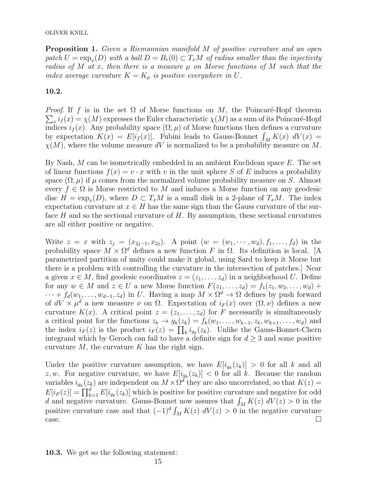Proposition 1. Given a Riemannian manifold M of positive curvature and an open patch  $U = \exp_x(D)$  with a ball  $D = B_r(0) \subset T_xM$  of radius smaller than the injectivity radius of M at x, then there is a measure  $\mu$  on Morse functions of M such that the index average curvature  $K = K_{\mu}$  is positive everywhere in U.

## 10.2.

*Proof.* If f is in the set  $\Omega$  of Morse functions on M, the Poincaré-Hopf theorem  $\sum_{x} i_f(x) = \chi(M)$  expresses the Euler characteristic  $\chi(M)$  as a sum of its Poincaré-Hopf indices  $i_f(x)$ . Any probability space  $(\Omega, \mu)$  of Morse functions then defines a curvature by expectation  $K(x) = E[i_f(x)]$ . Fubini leads to Gauss-Bonnet  $\int_M K(x) dV(x) =$  $\chi(M)$ , where the volume measure dV is normalized to be a probability measure on M.

By Nash,  $M$  can be isometrically embedded in an ambient Euclidean space  $E$ . The set of linear functions  $f(x) = v \cdot x$  with v in the unit sphere S of E induces a probability space  $(\Omega, \mu)$  if  $\mu$  comes from the normalized volume probability measure on S. Almost every  $f \in \Omega$  is Morse restricted to M and induces a Morse function on any geodesic disc  $H = \exp_x(D)$ , where  $D \subset T_xM$  is a small disk in a 2-plane of  $T_xM$ . The index expectation curvature at  $x \in H$  has the same sign than the Gauss curvature of the surface  $H$  and so the sectional curvature of  $H$ . By assumption, these sectional curvatures are all either positive or negative.

Write  $z = x$  with  $z_j = (x_{2j-1}, x_{2j})$ . A point  $(w = (w_1, \dots, w_d), f_1, \dots, f_d)$  in the probability space  $M \times \Omega^d$  defines a new function F in  $\Omega$ . Its definition is local. [A parametrized partition of unity could make it global, using Sard to keep it Morse but there is a problem with controlling the curvature in the intersection of patches.] Near a given  $x \in M$ , find geodesic coordinates  $z = (z_1, \ldots, z_d)$  in a neighborhood U. Define for any  $w \in M$  and  $z \in U$  a new Morse function  $F(z_1, \ldots, z_d) = f_1(z_1, w_2, \ldots, w_d) +$  $\cdots + f_d(w_1, \ldots, w_{d-1}, z_d)$  in U. Having a map  $M \times \Omega^d \to \Omega$  defines by push forward of  $dV \times \mu^d$  a new measure  $\nu$  on  $\Omega$ . Expectation of  $i_F(x)$  over  $(\Omega, \nu)$  defines a new curvature  $K(x)$ . A critical point  $z = (z_1, \ldots, z_d)$  for F necessarily is simultaneously a critical point for the functions  $z_k \to g_k(z_k) = f_k(w_1, \ldots, w_{k-1}, z_k, w_{k+1}, \ldots, w_d)$  and the index  $i_F(z)$  is the product  $i_F(z) = \prod_k i_{g_k}(z_k)$ . Unlike the Gauss-Bonnet-Chern integrand which by Geroch can fail to have a definite sign for  $d \geq 3$  and some positive curvature  $M$ , the curvature  $K$  has the right sign.

Under the positive curvature assumption, we have  $E[i_{g_k}(z_k)] > 0$  for all k and all z, w. For negative curvature, we have  $E[i_{g_k}(z_k)] < 0$  for all k. Because the random variables  $i_{g_k}(z_k)$  are independent on  $M \times \Omega^d$  they are also uncorrelated, so that  $K(z) =$  $E[i_F(z)] = \prod_{k=1}^d E[i_{g_k}(z_k)]$  which is positive for positive curvature and negative for odd d and negative curvature. Gauss-Bonnet now assures that  $\int_M K(z) dV(z) > 0$  in the positive curvature case and that  $(-1)^d \int_M K(z) dV(z) > 0$  in the negative curvature case.

10.3. We get so the following statement: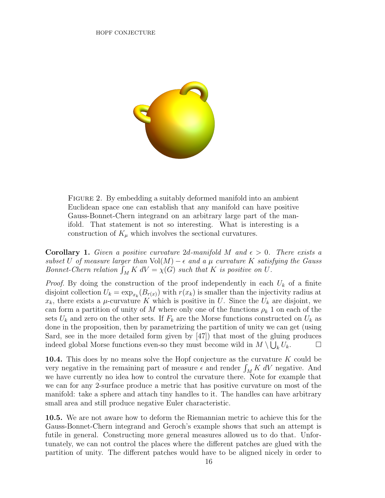

FIGURE 2. By embedding a suitably deformed manifold into an ambient Euclidean space one can establish that any manifold can have positive Gauss-Bonnet-Chern integrand on an arbitrary large part of the manifold. That statement is not so interesting. What is interesting is a construction of  $K_{\mu}$  which involves the sectional curvatures.

**Corollary 1.** Given a positive curvature 2d-manifold M and  $\epsilon > 0$ . There exists a subset U of measure larger than  $Vol(M) - \epsilon$  and a  $\mu$  curvature K satisfying the Gauss Bonnet-Chern relation  $\int_M K dV = \chi(G)$  such that K is positive on U.

*Proof.* By doing the construction of the proof independently in each  $U_k$  of a finite disjoint collection  $U_k = \exp_{x_k}(B_{r(x)})$  with  $r(x_k)$  is smaller than the injectivity radius at  $x_k$ , there exists a  $\mu$ -curvature K which is positive in U. Since the  $U_k$  are disjoint, we can form a partition of unity of M where only one of the functions  $\rho_k$  1 on each of the sets  $U_k$  and zero on the other sets. If  $F_k$  are the Morse functions constructed on  $U_k$  as done in the proposition, then by parametrizing the partition of unity we can get (using Sard, see in the more detailed form given by [47]) that most of the gluing produces indeed global Morse functions even-so they must become wild in  $M \setminus \bigcup_k U_k$ .

10.4. This does by no means solve the Hopf conjecture as the curvature K could be very negative in the remaining part of measure  $\epsilon$  and render  $\int_M K dV$  negative. And we have currently no idea how to control the curvature there. Note for example that we can for any 2-surface produce a metric that has positive curvature on most of the manifold: take a sphere and attach tiny handles to it. The handles can have arbitrary small area and still produce negative Euler characteristic.

10.5. We are not aware how to deform the Riemannian metric to achieve this for the Gauss-Bonnet-Chern integrand and Geroch's example shows that such an attempt is futile in general. Constructing more general measures allowed us to do that. Unfortunately, we can not control the places where the different patches are glued with the partition of unity. The different patches would have to be aligned nicely in order to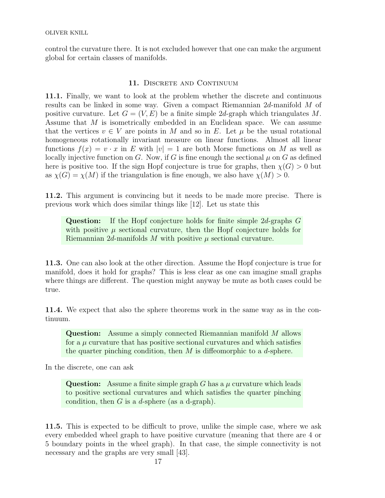control the curvature there. It is not excluded however that one can make the argument global for certain classes of manifolds.

# 11. DISCRETE AND CONTINUUM

11.1. Finally, we want to look at the problem whether the discrete and continuous results can be linked in some way. Given a compact Riemannian 2d-manifold M of positive curvature. Let  $G = (V, E)$  be a finite simple 2d-graph which triangulates M. Assume that M is isometrically embedded in an Euclidean space. We can assume that the vertices  $v \in V$  are points in M and so in E. Let  $\mu$  be the usual rotational homogeneous rotationally invariant measure on linear functions. Almost all linear functions  $f(x) = v \cdot x$  in E with  $|v| = 1$  are both Morse functions on M as well as locally injective function on G. Now, if G is fine enough the sectional  $\mu$  on G as defined here is positive too. If the sign Hopf conjecture is true for graphs, then  $\chi(G) > 0$  but as  $\chi(G) = \chi(M)$  if the triangulation is fine enough, we also have  $\chi(M) > 0$ .

11.2. This argument is convincing but it needs to be made more precise. There is previous work which does similar things like [12]. Let us state this

Question: If the Hopf conjecture holds for finite simple 2d-graphs G with positive  $\mu$  sectional curvature, then the Hopf conjecture holds for Riemannian  $2d$ -manifolds M with positive  $\mu$  sectional curvature.

11.3. One can also look at the other direction. Assume the Hopf conjecture is true for manifold, does it hold for graphs? This is less clear as one can imagine small graphs where things are different. The question might anyway be mute as both cases could be true.

11.4. We expect that also the sphere theorems work in the same way as in the continuum.

Question: Assume a simply connected Riemannian manifold M allows for a  $\mu$  curvature that has positive sectional curvatures and which satisfies the quarter pinching condition, then  $M$  is diffeomorphic to a  $d$ -sphere.

In the discrete, one can ask

**Question:** Assume a finite simple graph G has a  $\mu$  curvature which leads to positive sectional curvatures and which satisfies the quarter pinching condition, then  $G$  is a d-sphere (as a d-graph).

11.5. This is expected to be difficult to prove, unlike the simple case, where we ask every embedded wheel graph to have positive curvature (meaning that there are 4 or 5 boundary points in the wheel graph). In that case, the simple connectivity is not necessary and the graphs are very small [43].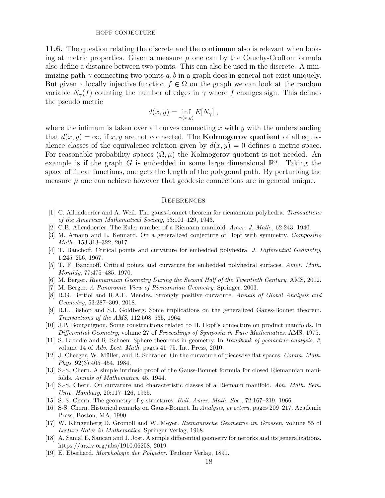11.6. The question relating the discrete and the continuum also is relevant when looking at metric properties. Given a measure  $\mu$  one can by the Cauchy-Crofton formula also define a distance between two points. This can also be used in the discrete. A minimizing path  $\gamma$  connecting two points a, b in a graph does in general not exist uniquely. But given a locally injective function  $f \in \Omega$  on the graph we can look at the random variable  $N_{\gamma}(f)$  counting the number of edges in  $\gamma$  where f changes sign. This defines the pseudo metric

$$
d(x, y) = \inf_{\gamma(x, y)} E[N_{\gamma}],
$$

where the infimum is taken over all curves connecting x with  $y$  with the understanding that  $d(x, y) = \infty$ , if x, y are not connected. The **Kolmogorov quotient** of all equivalence classes of the equivalence relation given by  $d(x, y) = 0$  defines a metric space. For reasonable probability spaces  $(\Omega, \mu)$  the Kolmogorov quotient is not needed. An example is if the graph  $G$  is embedded in some large dimensional  $\mathbb{R}^n$ . Taking the space of linear functions, one gets the length of the polygonal path. By perturbing the measure  $\mu$  one can achieve however that geodesic connections are in general unique.

#### **REFERENCES**

- [1] C. Allendoerfer and A. Weil. The gauss-bonnet theorem for riemannian polyhedra. Transactions of the American Mathematical Society, 53:101–129, 1943.
- [2] C.B. Allendoerfer. The Euler number of a Riemann manifold. Amer. J. Math., 62:243, 1940.
- [3] M. Amann and L. Kennard. On a generalized conjecture of Hopf with symmetry. Compositio Math., 153:313–322, 2017.
- [4] T. Banchoff. Critical points and curvature for embedded polyhedra. J. Differential Geometry, 1:245–256, 1967.
- [5] T. F. Banchoff. Critical points and curvature for embedded polyhedral surfaces. Amer. Math. Monthly, 77:475–485, 1970.
- [6] M. Berger. Riemannian Geometry During the Second Half of the Twentieth Century. AMS, 2002.
- [7] M. Berger. A Panoramic View of Riemannian Geometry. Springer, 2003.
- [8] R.G. Bettiol and R.A.E. Mendes. Strongly positive curvature. Annals of Global Analysis and Geometry, 53:287–309, 2018.
- [9] R.L. Bishop and S.I. Goldberg. Some implications on the generalized Gauss-Bonnet theorem. Transactions of the AMS, 112:508–535, 1964.
- [10] J.P. Bourguignon. Some constructions related to H. Hopf's conjecture on product manifolds. In Differential Geometry, volume 27 of Proceedings of Symposia in Pure Mathematics. AMS, 1975.
- [11] S. Brendle and R. Schoen. Sphere theorems in geometry. In Handbook of geometric analysis, 3, volume 14 of Adv. Lect. Math, pages 41–75. Int. Press, 2010.
- [12] J. Cheeger, W. Müller, and R. Schrader. On the curvature of piecewise flat spaces. Comm. Math. Phys, 92(3):405–454, 1984.
- [13] S.-S. Chern. A simple intrinsic proof of the Gauss-Bonnet formula for closed Riemannian manifolds. Annals of Mathematics, 45, 1944.
- [14] S.-S. Chern. On curvature and characteristic classes of a Riemann manifold. Abh. Math. Sem. Univ. Hamburg, 20:117–126, 1955.
- [15] S.-S. Chern. The geometry of g-structures. Bull. Amer. Math. Soc., 72:167–219, 1966.
- [16] S-S. Chern. Historical remarks on Gauss-Bonnet. In Analysis, et cetera, pages 209–217. Academic Press, Boston, MA, 1990.
- [17] W. Klingenberg D. Gromoll and W. Meyer. Riemannsche Geometrie im Grossen, volume 55 of Lecture Notes in Mathematics. Springer Verlag, 1968.
- [18] A. Samal E. Saucan and J. Jost. A simple differential geometry for netorks and its generalizations. https://arxiv.org/abs/1910.06258, 2019.
- [19] E. Eberhard. Morphologie der Polyeder. Teubner Verlag, 1891.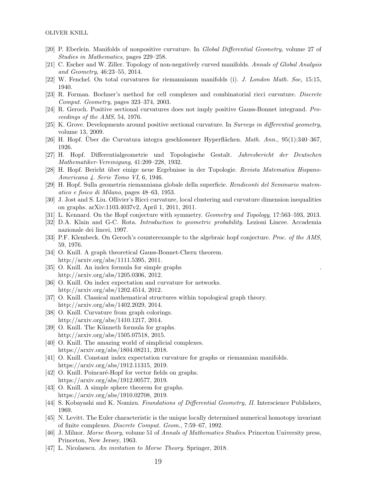- [20] P. Eberlein. Manifolds of nonpositive curvature. In Global Differential Geometry, volume 27 of Studies in Mathematics, pages 229–258.
- [21] C. Escher and W. Ziller. Topology of non-negatively curved manifolds. Annals of Global Analysis and Geometry, 46:23–55, 2014.
- [22] W. Fenchel. On total curvatures for riemannianm manifolds (i). J. London Math. Soc, 15:15, 1940.
- [23] R. Forman. Bochner's method for cell complexes and combinatorial ricci curvature. Discrete Comput. Geometry, pages 323–374, 2003.
- [24] R. Geroch. Positive sectional curvatures does not imply positive Gauss-Bonnet integrand. Proceedings of the AMS, 54, 1976.
- [25] K. Grove. Developments around positive sectional curvature. In Surveys in differential geometry, volume 13, 2009.
- [26] H. Hopf. Uber die Curvatura integra geschlossener Hyperflächen.  $Math. Ann.$ , 95(1):340–367, 1926.
- [27] H. Hopf. Differentialgeometrie und Topologische Gestalt. Jahresbericht der Deutschen Mathematiker-Vereinigung, 41:209–228, 1932.
- [28] H. Hopf. Bericht über einige neue Ergebnisse in der Topologie. Revista Matematica Hispano-Americana 4. Serie Tomo VI, 6, 1946.
- [29] H. Hopf. Sulla geometria riemanniana globale della superficie. Rendiconti del Seminario matematico e fisico di Milano, pages 48–63, 1953.
- [30] J. Jost and S. Liu. Ollivier's Ricci curvature, local clustering and curvature dimension inequalities on graphs. arXiv:1103.4037v2, April 1, 2011, 2011.
- [31] L. Kennard. On the Hopf conjecture with symmetry. Geometry and Topology, 17:563–593, 2013.
- [32] D.A. Klain and G-C. Rota. Introduction to geometric probability. Lezioni Lincee. Accademia nazionale dei lincei, 1997.
- [33] P.F. Klembeck. On Geroch's counterexample to the algebraic hopf conjecture. Proc. of the AMS, 59, 1976.
- [34] O. Knill. A graph theoretical Gauss-Bonnet-Chern theorem. http://arxiv.org/abs/1111.5395, 2011.
- [35] O. Knill. An index formula for simple graphs http://arxiv.org/abs/1205.0306, 2012.
- [36] O. Knill. On index expectation and curvature for networks. http://arxiv.org/abs/1202.4514, 2012.
- [37] O. Knill. Classical mathematical structures within topological graph theory. http://arxiv.org/abs/1402.2029, 2014.
- [38] O. Knill. Curvature from graph colorings. http://arxiv.org/abs/1410.1217, 2014.
- [39] O. Knill. The Künneth formula for graphs. http://arxiv.org/abs/1505.07518, 2015.
- [40] O. Knill. The amazing world of simplicial complexes. https://arxiv.org/abs/1804.08211, 2018.
- [41] O. Knill. Constant index expectation curvature for graphs or riemannian manifolds. https://arxiv.org/abs/1912.11315, 2019.
- [42] O. Knill. Poincaré-Hopf for vector fields on graphs. https://arxiv.org/abs/1912.00577, 2019.
- [43] O. Knill. A simple sphere theorem for graphs. https://arxiv.org/abs/1910.02708, 2019.
- [44] S. Kobayashi and K. Nomizu. Foundations of Differential Geometry, II. Interscience Publishers, 1969.
- [45] N. Levitt. The Euler characteristic is the unique locally determined numerical homotopy invariant of finite complexes. Discrete Comput. Geom., 7:59–67, 1992.
- [46] J. Milnor. Morse theory, volume 51 of Annals of Mathematics Studies. Princeton University press, Princeton, New Jersey, 1963.
- [47] L. Nicolaescu. An invitation to Morse Theory. Springer, 2018.